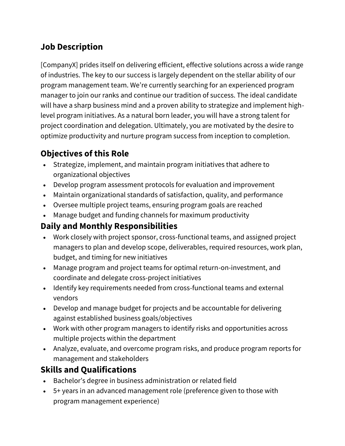# **Job Description**

[CompanyX] prides itself on delivering efficient, effective solutions across a wide range of industries. The key to our success is largely dependent on the stellar ability of our program management team. We're currently searching for an experienced program manager to join our ranks and continue our tradition of success. The ideal candidate will have a sharp business mind and a proven ability to strategize and implement highlevel program initiatives. As a natural born leader, you will have a strong talent for project coordination and delegation. Ultimately, you are motivated by the desire to optimize productivity and nurture program success from inception to completion.

## **Objectives of this Role**

- Strategize, implement, and maintain program initiatives that adhere to organizational objectives
- Develop program assessment protocols for evaluation and improvement
- Maintain organizational standards of satisfaction, quality, and performance
- Oversee multiple project teams, ensuring program goals are reached
- Manage budget and funding channels for maximum productivity

#### **Daily and Monthly Responsibilities**

- Work closely with project sponsor, cross-functional teams, and assigned project managers to plan and develop scope, deliverables, required resources, work plan, budget, and timing for new initiatives
- Manage program and project teams for optimal return-on-investment, and coordinate and delegate cross-project initiatives
- Identify key requirements needed from cross-functional teams and external vendors
- Develop and manage budget for projects and be accountable for delivering against established business goals/objectives
- Work with other program managers to identify risks and opportunities across multiple projects within the department
- Analyze, evaluate, and overcome program risks, and produce program reports for management and stakeholders

## **Skills and Qualifications**

- Bachelor's degree in business administration or related field
- 5+ years in an advanced management role (preference given to those with program management experience)